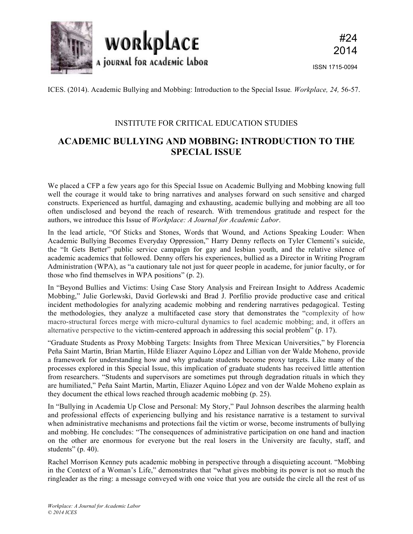

ISSN 1715-0094

ICES. (2014). Academic Bullying and Mobbing: Introduction to the Special Issue*. Workplace, 24,* 56-57.

## INSTITUTE FOR CRITICAL EDUCATION STUDIES

## **ACADEMIC BULLYING AND MOBBING: INTRODUCTION TO THE SPECIAL ISSUE**

We placed a CFP a few years ago for this Special Issue on Academic Bullying and Mobbing knowing full well the courage it would take to bring narratives and analyses forward on such sensitive and charged constructs. Experienced as hurtful, damaging and exhausting, academic bullying and mobbing are all too often undisclosed and beyond the reach of research. With tremendous gratitude and respect for the authors, we introduce this Issue of *Workplace: A Journal for Academic Labor*.

In the lead article, "Of Sticks and Stones, Words that Wound, and Actions Speaking Louder: When Academic Bullying Becomes Everyday Oppression," Harry Denny reflects on Tyler Clementi's suicide, the "It Gets Better" public service campaign for gay and lesbian youth, and the relative silence of academic academics that followed. Denny offers his experiences, bullied as a Director in Writing Program Administration (WPA), as "a cautionary tale not just for queer people in academe, for junior faculty, or for those who find themselves in WPA positions" (p. 2).

In "Beyond Bullies and Victims: Using Case Story Analysis and Freirean Insight to Address Academic Mobbing," Julie Gorlewski, David Gorlewski and Brad J. Porfilio provide productive case and critical incident methodologies for analyzing academic mobbing and rendering narratives pedagogical. Testing the methodologies, they analyze a multifaceted case story that demonstrates the "complexity of how macro-structural forces merge with micro-cultural dynamics to fuel academic mobbing; and, it offers an alternative perspective to the victim-centered approach in addressing this social problem" (p. 17).

"Graduate Students as Proxy Mobbing Targets: Insights from Three Mexican Universities," by Florencia Peña Saint Martin, Brian Martin, Hilde Eliazer Aquino López and Lillian von der Walde Moheno, provide a framework for understanding how and why graduate students become proxy targets. Like many of the processes explored in this Special Issue, this implication of graduate students has received little attention from researchers. "Students and supervisors are sometimes put through degradation rituals in which they are humiliated," Peña Saint Martin, Martin, Eliazer Aquino López and von der Walde Moheno explain as they document the ethical lows reached through academic mobbing (p. 25).

In "Bullying in Academia Up Close and Personal: My Story," Paul Johnson describes the alarming health and professional effects of experiencing bullying and his resistance narrative is a testament to survival when administrative mechanisms and protections fail the victim or worse, become instruments of bullying and mobbing. He concludes: "The consequences of administrative participation on one hand and inaction on the other are enormous for everyone but the real losers in the University are faculty, staff, and students"  $(p. 40)$ .

Rachel Morrison Kenney puts academic mobbing in perspective through a disquieting account. "Mobbing in the Context of a Woman's Life," demonstrates that "what gives mobbing its power is not so much the ringleader as the ring: a message conveyed with one voice that you are outside the circle all the rest of us